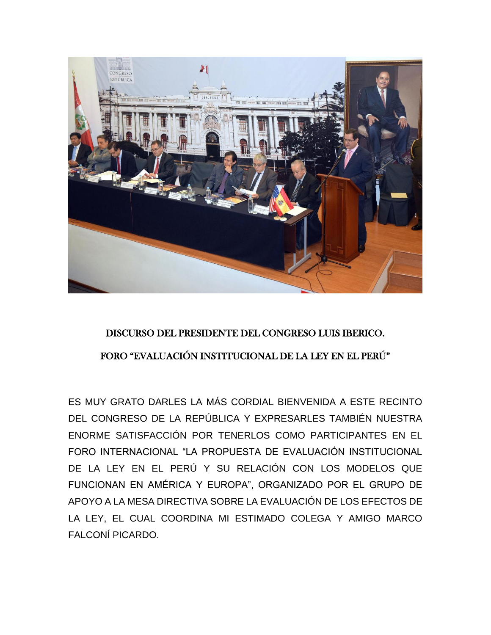

## DISCURSO DEL PRESIDENTE DEL CONGRESO LUIS IBERICO. FORO "EVALUACIÓN INSTITUCIONAL DE LA LEY EN EL PERÚ"

ES MUY GRATO DARLES LA MÁS CORDIAL BIENVENIDA A ESTE RECINTO DEL CONGRESO DE LA REPÚBLICA Y EXPRESARLES TAMBIÉN NUESTRA ENORME SATISFACCIÓN POR TENERLOS COMO PARTICIPANTES EN EL FORO INTERNACIONAL "LA PROPUESTA DE EVALUACIÓN INSTITUCIONAL DE LA LEY EN EL PERÚ Y SU RELACIÓN CON LOS MODELOS QUE FUNCIONAN EN AMÉRICA Y EUROPA", ORGANIZADO POR EL GRUPO DE APOYO A LA MESA DIRECTIVA SOBRE LA EVALUACIÓN DE LOS EFECTOS DE LA LEY, EL CUAL COORDINA MI ESTIMADO COLEGA Y AMIGO MARCO FALCONÍ PICARDO.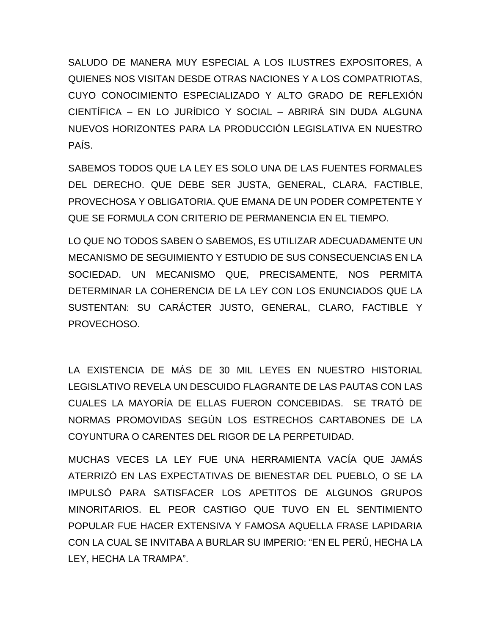SALUDO DE MANERA MUY ESPECIAL A LOS ILUSTRES EXPOSITORES, A QUIENES NOS VISITAN DESDE OTRAS NACIONES Y A LOS COMPATRIOTAS, CUYO CONOCIMIENTO ESPECIALIZADO Y ALTO GRADO DE REFLEXIÓN CIENTÍFICA – EN LO JURÍDICO Y SOCIAL – ABRIRÁ SIN DUDA ALGUNA NUEVOS HORIZONTES PARA LA PRODUCCIÓN LEGISLATIVA EN NUESTRO PAÍS.

SABEMOS TODOS QUE LA LEY ES SOLO UNA DE LAS FUENTES FORMALES DEL DERECHO. QUE DEBE SER JUSTA, GENERAL, CLARA, FACTIBLE, PROVECHOSA Y OBLIGATORIA. QUE EMANA DE UN PODER COMPETENTE Y QUE SE FORMULA CON CRITERIO DE PERMANENCIA EN EL TIEMPO.

LO QUE NO TODOS SABEN O SABEMOS, ES UTILIZAR ADECUADAMENTE UN MECANISMO DE SEGUIMIENTO Y ESTUDIO DE SUS CONSECUENCIAS EN LA SOCIEDAD. UN MECANISMO QUE, PRECISAMENTE, NOS PERMITA DETERMINAR LA COHERENCIA DE LA LEY CON LOS ENUNCIADOS QUE LA SUSTENTAN: SU CARÁCTER JUSTO, GENERAL, CLARO, FACTIBLE Y PROVECHOSO.

LA EXISTENCIA DE MÁS DE 30 MIL LEYES EN NUESTRO HISTORIAL LEGISLATIVO REVELA UN DESCUIDO FLAGRANTE DE LAS PAUTAS CON LAS CUALES LA MAYORÍA DE ELLAS FUERON CONCEBIDAS. SE TRATÓ DE NORMAS PROMOVIDAS SEGÚN LOS ESTRECHOS CARTABONES DE LA COYUNTURA O CARENTES DEL RIGOR DE LA PERPETUIDAD.

MUCHAS VECES LA LEY FUE UNA HERRAMIENTA VACÍA QUE JAMÁS ATERRIZÓ EN LAS EXPECTATIVAS DE BIENESTAR DEL PUEBLO, O SE LA IMPULSÓ PARA SATISFACER LOS APETITOS DE ALGUNOS GRUPOS MINORITARIOS. EL PEOR CASTIGO QUE TUVO EN EL SENTIMIENTO POPULAR FUE HACER EXTENSIVA Y FAMOSA AQUELLA FRASE LAPIDARIA CON LA CUAL SE INVITABA A BURLAR SU IMPERIO: "EN EL PERÚ, HECHA LA LEY, HECHA LA TRAMPA".